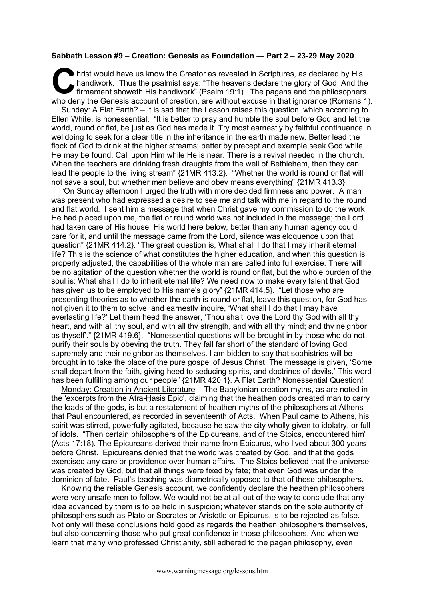## **Sabbath Lesson #9 – Creation: Genesis as Foundation — Part 2 – 23-29 May 2020**

hrist would have us know the Creator as revealed in Scriptures, as declared by His handiwork. Thus the psalmist says: "The heavens declare the glory of God; And the firmament showeth His handiwork" (Psalm 19:1). The pagans and the philosophers who deny the Genesis account of creation, are without excuse in that ignorance (Romans 1). C hai

Sunday: A Flat Earth? – It is sad that the Lesson raises this question, which according to Ellen White, is nonessential. "It is better to pray and humble the soul before God and let the world, round or flat, be just as God has made it. Try most earnestly by faithful continuance in welldoing to seek for a clear title in the inheritance in the earth made new. Better lead the flock of God to drink at the higher streams; better by precept and example seek God while He may be found. Call upon Him while He is near. There is a revival needed in the church. When the teachers are drinking fresh draughts from the well of Bethlehem, then they can lead the people to the living stream" {21MR 413.2}. "Whether the world is round or flat will not save a soul, but whether men believe and obey means everything" {21MR 413.3}.

"On Sunday afternoon I urged the truth with more decided firmness and power. A man was present who had expressed a desire to see me and talk with me in regard to the round and flat world. I sent him a message that when Christ gave my commission to do the work He had placed upon me, the flat or round world was not included in the message; the Lord had taken care of His house, His world here below, better than any human agency could care for it, and until the message came from the Lord, silence was eloquence upon that question" {21MR 414.2}. "The great question is, What shall I do that I may inherit eternal life? This is the science of what constitutes the higher education, and when this question is properly adjusted, the capabilities of the whole man are called into full exercise. There will be no agitation of the question whether the world is round or flat, but the whole burden of the soul is: What shall I do to inherit eternal life? We need now to make every talent that God has given us to be employed to His name's glory" {21MR 414.5}. "Let those who are presenting theories as to whether the earth is round or flat, leave this question, for God has not given it to them to solve, and earnestly inquire, 'What shall I do that I may have everlasting life?' Let them heed the answer, 'Thou shalt love the Lord thy God with all thy heart, and with all thy soul, and with all thy strength, and with all thy mind; and thy neighbor as thyself'." {21MR 419.6}. "Nonessential questions will be brought in by those who do not purify their souls by obeying the truth. They fall far short of the standard of loving God supremely and their neighbor as themselves. I am bidden to say that sophistries will be brought in to take the place of the pure gospel of Jesus Christ. The message is given, 'Some shall depart from the faith, giving heed to seducing spirits, and doctrines of devils.' This word has been fulfilling among our people" {21MR 420.1}. A Flat Earth? Nonessential Question!

Monday: Creation in Ancient Literature – The Babylonian creation myths, as are noted in the 'excerpts from the Atra-Ḫasis Epic', claiming that the heathen gods created man to carry the loads of the gods, is but a restatement of heathen myths of the philosophers at Athens that Paul encountered, as recorded in seventeenth of Acts. When Paul came to Athens, his spirit was stirred, powerfully agitated, because he saw the city wholly given to idolatry, or full of idols. "Then certain philosophers of the Epicureans, and of the Stoics, encountered him" (Acts 17:18). The Epicureans derived their name from Epicurus, who lived about 300 years before Christ. Epicureans denied that the world was created by God, and that the gods exercised any care or providence over human affairs. The Stoics believed that the universe was created by God, but that all things were fixed by fate; that even God was under the dominion of fate. Paul's teaching was diametrically opposed to that of these philosophers.

Knowing the reliable Genesis account, we confidently declare the heathen philosophers were very unsafe men to follow. We would not be at all out of the way to conclude that any idea advanced by them is to be held in suspicion; whatever stands on the sole authority of philosophers such as Plato or Socrates or Aristotle or Epicurus, is to be rejected as false. Not only will these conclusions hold good as regards the heathen philosophers themselves, but also concerning those who put great confidence in those philosophers. And when we learn that many who professed Christianity, still adhered to the pagan philosophy, even